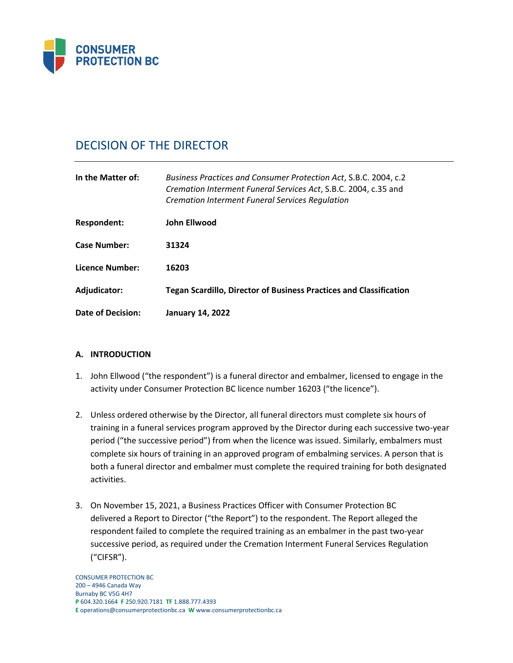

# DECISION OF THE DIRECTOR

| In the Matter of:   | Business Practices and Consumer Protection Act, S.B.C. 2004, c.2<br>Cremation Interment Funeral Services Act, S.B.C. 2004, c.35 and<br><b>Cremation Interment Funeral Services Regulation</b> |
|---------------------|-----------------------------------------------------------------------------------------------------------------------------------------------------------------------------------------------|
| Respondent:         | <b>John Ellwood</b>                                                                                                                                                                           |
| <b>Case Number:</b> | 31324                                                                                                                                                                                         |
| Licence Number:     | 16203                                                                                                                                                                                         |
| Adjudicator:        | <b>Tegan Scardillo, Director of Business Practices and Classification</b>                                                                                                                     |
| Date of Decision:   | <b>January 14, 2022</b>                                                                                                                                                                       |

## **A. INTRODUCTION**

- 1. John Ellwood ("the respondent") is a funeral director and embalmer, licensed to engage in the activity under Consumer Protection BC licence number 16203 ("the licence").
- 2. Unless ordered otherwise by the Director, all funeral directors must complete six hours of training in a funeral services program approved by the Director during each successive two-year period ("the successive period") from when the licence was issued. Similarly, embalmers must complete six hours of training in an approved program of embalming services. A person that is both a funeral director and embalmer must complete the required training for both designated activities.
- 3. On November 15, 2021, a Business Practices Officer with Consumer Protection BC delivered a Report to Director ("the Report") to the respondent. The Report alleged the respondent failed to complete the required training as an embalmer in the past two-year successive period, as required under the Cremation Interment Funeral Services Regulation ("CIFSR").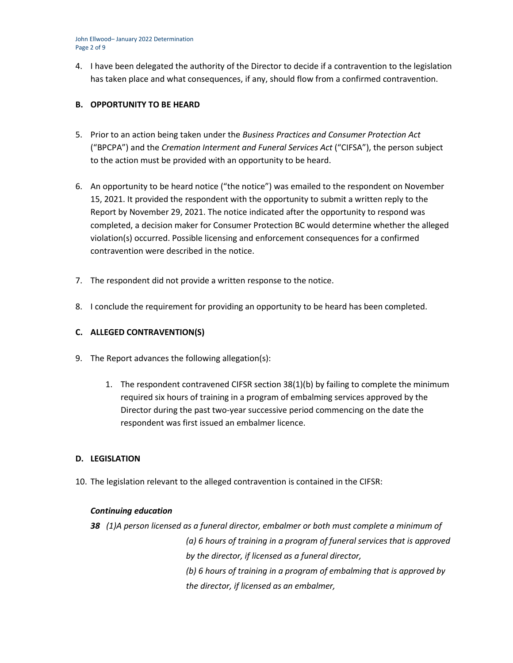John Ellwood– January 2022 Determination Page 2 of 9

4. I have been delegated the authority of the Director to decide if a contravention to the legislation has taken place and what consequences, if any, should flow from a confirmed contravention.

## **B. OPPORTUNITY TO BE HEARD**

- 5. Prior to an action being taken under the *Business Practices and Consumer Protection Act*  ("BPCPA") and the *Cremation Interment and Funeral Services Act* ("CIFSA"), the person subject to the action must be provided with an opportunity to be heard.
- 6. An opportunity to be heard notice ("the notice") was emailed to the respondent on November 15, 2021. It provided the respondent with the opportunity to submit a written reply to the Report by November 29, 2021. The notice indicated after the opportunity to respond was completed, a decision maker for Consumer Protection BC would determine whether the alleged violation(s) occurred. Possible licensing and enforcement consequences for a confirmed contravention were described in the notice.
- 7. The respondent did not provide a written response to the notice.
- 8. I conclude the requirement for providing an opportunity to be heard has been completed.

## **C. ALLEGED CONTRAVENTION(S)**

- 9. The Report advances the following allegation(s):
	- 1. The respondent contravened CIFSR section 38(1)(b) by failing to complete the minimum required six hours of training in a program of embalming services approved by the Director during the past two-year successive period commencing on the date the respondent was first issued an embalmer licence.

## **D. LEGISLATION**

10. The legislation relevant to the alleged contravention is contained in the CIFSR:

## *Continuing education*

*38 (1)A person licensed as a funeral director, embalmer or both must complete a minimum of (a) 6 hours of training in a program of funeral services that is approved by the director, if licensed as a funeral director, (b) 6 hours of training in a program of embalming that is approved by the director, if licensed as an embalmer,*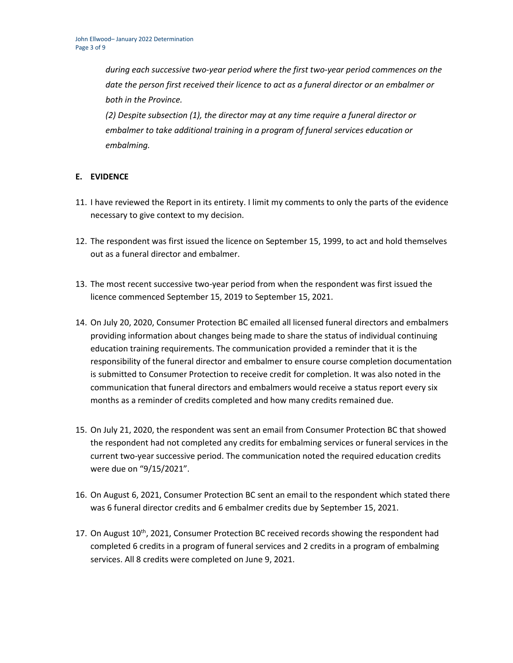*during each successive two-year period where the first two-year period commences on the date the person first received their licence to act as a funeral director or an embalmer or both in the Province.*

*(2) Despite subsection (1), the director may at any time require a funeral director or embalmer to take additional training in a program of funeral services education or embalming.*

## **E. EVIDENCE**

- 11. I have reviewed the Report in its entirety. I limit my comments to only the parts of the evidence necessary to give context to my decision.
- 12. The respondent was first issued the licence on September 15, 1999, to act and hold themselves out as a funeral director and embalmer.
- 13. The most recent successive two-year period from when the respondent was first issued the licence commenced September 15, 2019 to September 15, 2021.
- 14. On July 20, 2020, Consumer Protection BC emailed all licensed funeral directors and embalmers providing information about changes being made to share the status of individual continuing education training requirements. The communication provided a reminder that it is the responsibility of the funeral director and embalmer to ensure course completion documentation is submitted to Consumer Protection to receive credit for completion. It was also noted in the communication that funeral directors and embalmers would receive a status report every six months as a reminder of credits completed and how many credits remained due.
- 15. On July 21, 2020, the respondent was sent an email from Consumer Protection BC that showed the respondent had not completed any credits for embalming services or funeral services in the current two-year successive period. The communication noted the required education credits were due on "9/15/2021".
- 16. On August 6, 2021, Consumer Protection BC sent an email to the respondent which stated there was 6 funeral director credits and 6 embalmer credits due by September 15, 2021.
- 17. On August 10<sup>th</sup>, 2021, Consumer Protection BC received records showing the respondent had completed 6 credits in a program of funeral services and 2 credits in a program of embalming services. All 8 credits were completed on June 9, 2021.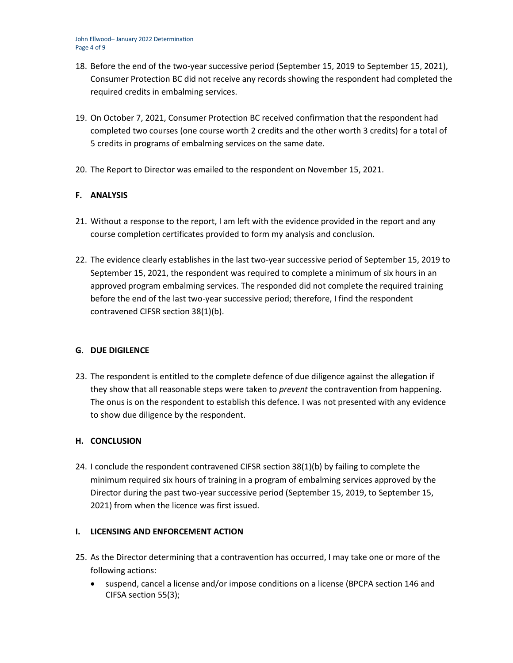- 18. Before the end of the two-year successive period (September 15, 2019 to September 15, 2021), Consumer Protection BC did not receive any records showing the respondent had completed the required credits in embalming services.
- 19. On October 7, 2021, Consumer Protection BC received confirmation that the respondent had completed two courses (one course worth 2 credits and the other worth 3 credits) for a total of 5 credits in programs of embalming services on the same date.
- 20. The Report to Director was emailed to the respondent on November 15, 2021.

## **F. ANALYSIS**

- 21. Without a response to the report, I am left with the evidence provided in the report and any course completion certificates provided to form my analysis and conclusion.
- 22. The evidence clearly establishes in the last two-year successive period of September 15, 2019 to September 15, 2021, the respondent was required to complete a minimum of six hours in an approved program embalming services. The responded did not complete the required training before the end of the last two-year successive period; therefore, I find the respondent contravened CIFSR section 38(1)(b).

## **G. DUE DIGILENCE**

23. The respondent is entitled to the complete defence of due diligence against the allegation if they show that all reasonable steps were taken to *prevent* the contravention from happening. The onus is on the respondent to establish this defence. I was not presented with any evidence to show due diligence by the respondent.

## **H. CONCLUSION**

24. I conclude the respondent contravened CIFSR section 38(1)(b) by failing to complete the minimum required six hours of training in a program of embalming services approved by the Director during the past two-year successive period (September 15, 2019, to September 15, 2021) from when the licence was first issued.

## **I. LICENSING AND ENFORCEMENT ACTION**

- 25. As the Director determining that a contravention has occurred, I may take one or more of the following actions:
	- suspend, cancel a license and/or impose conditions on a license (BPCPA section 146 and CIFSA section 55(3);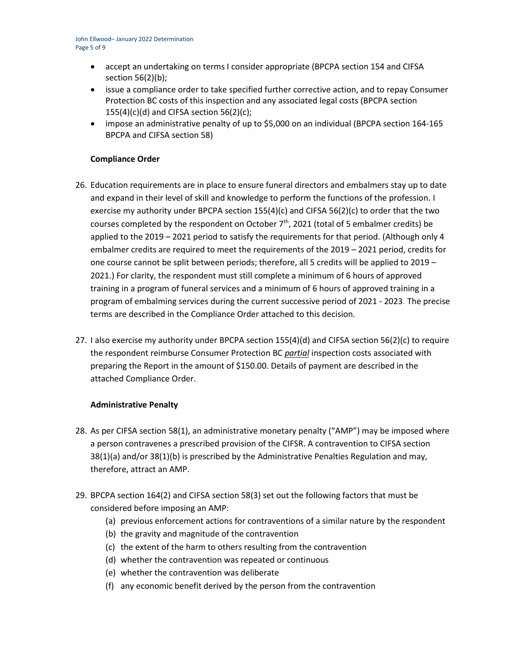- accept an undertaking on terms I consider appropriate (BPCPA section 154 and CIFSA section 56(2)(b);
- issue a compliance order to take specified further corrective action, and to repay Consumer Protection BC costs of this inspection and any associated legal costs (BPCPA section  $155(4)(c)(d)$  and CIFSA section 56(2)(c);
- impose an administrative penalty of up to \$5,000 on an individual (BPCPA section 164-165 BPCPA and CIFSA section 58)

## **Compliance Order**

- 26. Education requirements are in place to ensure funeral directors and embalmers stay up to date and expand in their level of skill and knowledge to perform the functions of the profession. I exercise my authority under BPCPA section  $155(4)(c)$  and CIFSA 56(2)(c) to order that the two courses completed by the respondent on October  $7<sup>th</sup>$ , 2021 (total of 5 embalmer credits) be applied to the 2019 – 2021 period to satisfy the requirements for that period. (Although only 4 embalmer credits are required to meet the requirements of the 2019 – 2021 period, credits for one course cannot be split between periods; therefore, all 5 credits will be applied to 2019 – 2021.) For clarity, the respondent must still complete a minimum of 6 hours of approved training in a program of funeral services and a minimum of 6 hours of approved training in a program of embalming services during the current successive period of 2021 - 2023. The precise terms are described in the Compliance Order attached to this decision.
- 27. I also exercise my authority under BPCPA section 155(4)(d) and CIFSA section 56(2)(c) to require the respondent reimburse Consumer Protection BC *partial* inspection costs associated with preparing the Report in the amount of \$150.00. Details of payment are described in the attached Compliance Order.

## **Administrative Penalty**

- 28. As per CIFSA section 58(1), an administrative monetary penalty ("AMP") may be imposed where a person contravenes a prescribed provision of the CIFSR. A contravention to CIFSA section 38(1)(a) and/or 38(1)(b) is prescribed by the Administrative Penalties Regulation and may, therefore, attract an AMP.
- 29. BPCPA section 164(2) and CIFSA section 58(3) set out the following factors that must be considered before imposing an AMP:
	- (a) previous enforcement actions for contraventions of a similar nature by the respondent
	- (b) the gravity and magnitude of the contravention
	- (c) the extent of the harm to others resulting from the contravention
	- (d) whether the contravention was repeated or continuous
	- (e) whether the contravention was deliberate
	- (f) any economic benefit derived by the person from the contravention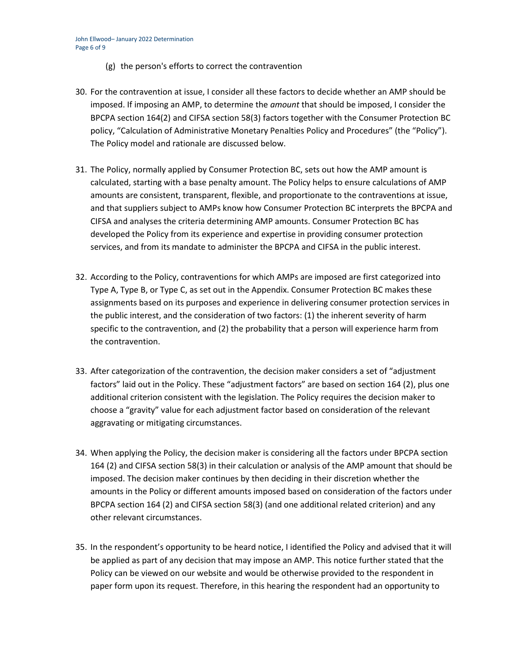- (g) the person's efforts to correct the contravention
- 30. For the contravention at issue, I consider all these factors to decide whether an AMP should be imposed. If imposing an AMP, to determine the *amount* that should be imposed, I consider the BPCPA section 164(2) and CIFSA section 58(3) factors together with the Consumer Protection BC policy, "Calculation of Administrative Monetary Penalties Policy and Procedures" (the "Policy"). The Policy model and rationale are discussed below.
- 31. The Policy, normally applied by Consumer Protection BC, sets out how the AMP amount is calculated, starting with a base penalty amount. The Policy helps to ensure calculations of AMP amounts are consistent, transparent, flexible, and proportionate to the contraventions at issue, and that suppliers subject to AMPs know how Consumer Protection BC interprets the BPCPA and CIFSA and analyses the criteria determining AMP amounts. Consumer Protection BC has developed the Policy from its experience and expertise in providing consumer protection services, and from its mandate to administer the BPCPA and CIFSA in the public interest.
- 32. According to the Policy, contraventions for which AMPs are imposed are first categorized into Type A, Type B, or Type C, as set out in the Appendix. Consumer Protection BC makes these assignments based on its purposes and experience in delivering consumer protection services in the public interest, and the consideration of two factors: (1) the inherent severity of harm specific to the contravention, and (2) the probability that a person will experience harm from the contravention.
- 33. After categorization of the contravention, the decision maker considers a set of "adjustment factors" laid out in the Policy. These "adjustment factors" are based on section 164 (2), plus one additional criterion consistent with the legislation. The Policy requires the decision maker to choose a "gravity" value for each adjustment factor based on consideration of the relevant aggravating or mitigating circumstances.
- 34. When applying the Policy, the decision maker is considering all the factors under BPCPA section 164 (2) and CIFSA section 58(3) in their calculation or analysis of the AMP amount that should be imposed. The decision maker continues by then deciding in their discretion whether the amounts in the Policy or different amounts imposed based on consideration of the factors under BPCPA section 164 (2) and CIFSA section 58(3) (and one additional related criterion) and any other relevant circumstances.
- 35. In the respondent's opportunity to be heard notice, I identified the Policy and advised that it will be applied as part of any decision that may impose an AMP. This notice further stated that the Policy can be viewed on our website and would be otherwise provided to the respondent in paper form upon its request. Therefore, in this hearing the respondent had an opportunity to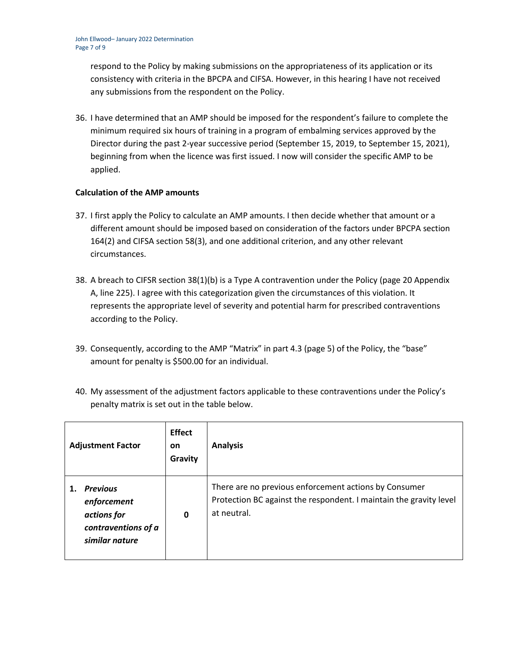respond to the Policy by making submissions on the appropriateness of its application or its consistency with criteria in the BPCPA and CIFSA. However, in this hearing I have not received any submissions from the respondent on the Policy.

36. I have determined that an AMP should be imposed for the respondent's failure to complete the minimum required six hours of training in a program of embalming services approved by the Director during the past 2-year successive period (September 15, 2019, to September 15, 2021), beginning from when the licence was first issued. I now will consider the specific AMP to be applied.

## **Calculation of the AMP amounts**

- 37. I first apply the Policy to calculate an AMP amounts. I then decide whether that amount or a different amount should be imposed based on consideration of the factors under BPCPA section 164(2) and CIFSA section 58(3), and one additional criterion, and any other relevant circumstances.
- 38. A breach to CIFSR section 38(1)(b) is a Type A contravention under the Policy (page 20 Appendix A, line 225). I agree with this categorization given the circumstances of this violation. It represents the appropriate level of severity and potential harm for prescribed contraventions according to the Policy.
- 39. Consequently, according to the AMP "Matrix" in part 4.3 (page 5) of the Policy, the "base" amount for penalty is \$500.00 for an individual.
- 40. My assessment of the adjustment factors applicable to these contraventions under the Policy's penalty matrix is set out in the table below.

| <b>Adjustment Factor</b>                                                               | <b>Effect</b><br><b>on</b><br>Gravity | <b>Analysis</b>                                                                                                                            |
|----------------------------------------------------------------------------------------|---------------------------------------|--------------------------------------------------------------------------------------------------------------------------------------------|
| <b>Previous</b><br>enforcement<br>actions for<br>contraventions of a<br>similar nature | 0                                     | There are no previous enforcement actions by Consumer<br>Protection BC against the respondent. I maintain the gravity level<br>at neutral. |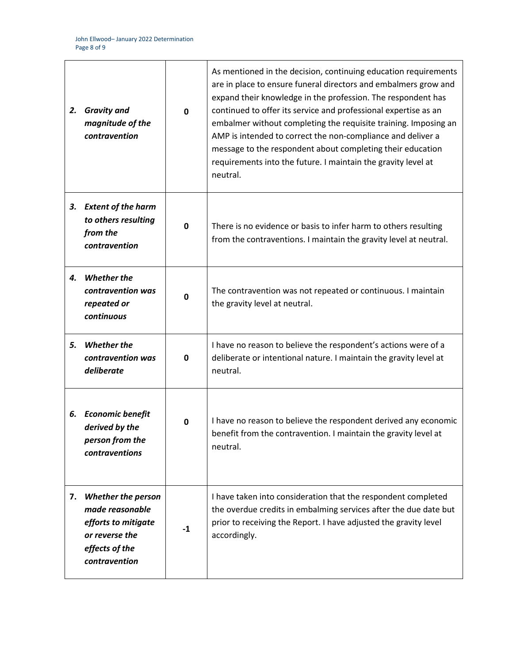| 2. | <b>Gravity and</b><br>magnitude of the<br>contravention                                                           | $\mathbf{0}$ | As mentioned in the decision, continuing education requirements<br>are in place to ensure funeral directors and embalmers grow and<br>expand their knowledge in the profession. The respondent has<br>continued to offer its service and professional expertise as an<br>embalmer without completing the requisite training. Imposing an<br>AMP is intended to correct the non-compliance and deliver a<br>message to the respondent about completing their education<br>requirements into the future. I maintain the gravity level at<br>neutral. |
|----|-------------------------------------------------------------------------------------------------------------------|--------------|----------------------------------------------------------------------------------------------------------------------------------------------------------------------------------------------------------------------------------------------------------------------------------------------------------------------------------------------------------------------------------------------------------------------------------------------------------------------------------------------------------------------------------------------------|
| 3. | <b>Extent of the harm</b><br>to others resulting<br>from the<br>contravention                                     | 0            | There is no evidence or basis to infer harm to others resulting<br>from the contraventions. I maintain the gravity level at neutral.                                                                                                                                                                                                                                                                                                                                                                                                               |
| 4. | <b>Whether the</b><br>contravention was<br>repeated or<br>continuous                                              | $\mathbf 0$  | The contravention was not repeated or continuous. I maintain<br>the gravity level at neutral.                                                                                                                                                                                                                                                                                                                                                                                                                                                      |
| 5. | <b>Whether the</b><br>contravention was<br>deliberate                                                             | 0            | I have no reason to believe the respondent's actions were of a<br>deliberate or intentional nature. I maintain the gravity level at<br>neutral.                                                                                                                                                                                                                                                                                                                                                                                                    |
|    | 6. Economic benefit<br>derived by the<br>person from the<br>contraventions                                        | 0            | I have no reason to believe the respondent derived any economic<br>benefit from the contravention. I maintain the gravity level at<br>neutral.                                                                                                                                                                                                                                                                                                                                                                                                     |
| 7. | Whether the person<br>made reasonable<br>efforts to mitigate<br>or reverse the<br>effects of the<br>contravention | $-1$         | I have taken into consideration that the respondent completed<br>the overdue credits in embalming services after the due date but<br>prior to receiving the Report. I have adjusted the gravity level<br>accordingly.                                                                                                                                                                                                                                                                                                                              |